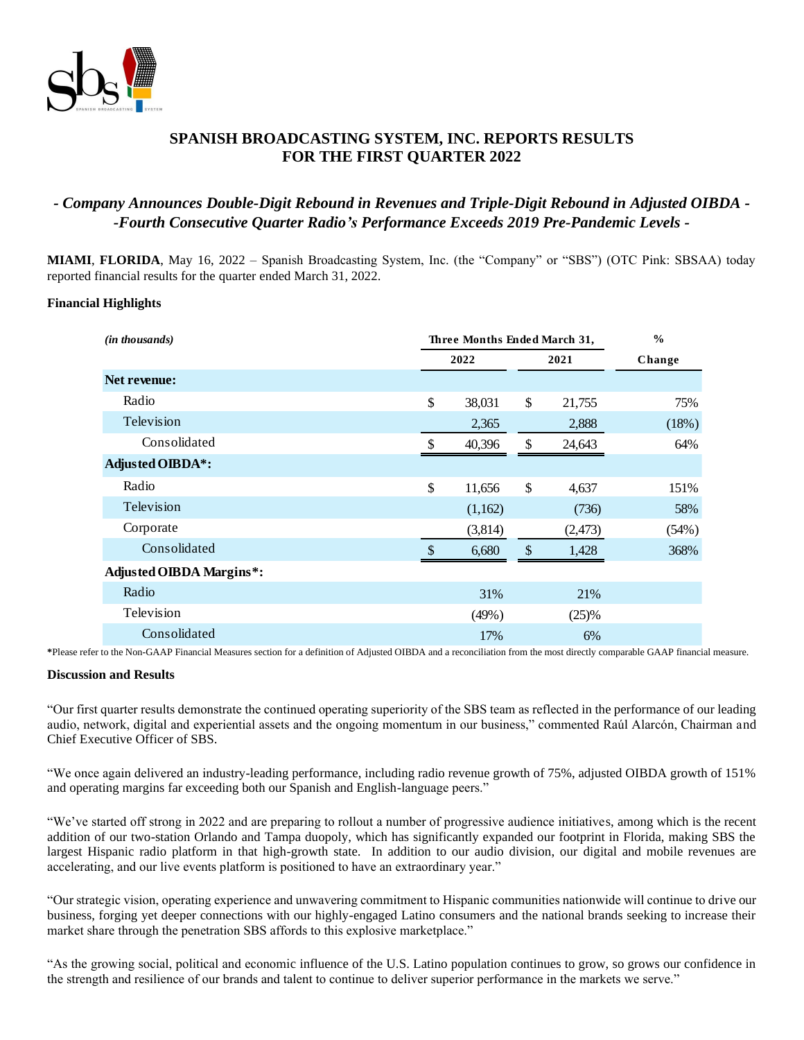

## **SPANISH BROADCASTING SYSTEM, INC. REPORTS RESULTS FOR THE FIRST QUARTER 2022**

# *- Company Announces Double-Digit Rebound in Revenues and Triple-Digit Rebound in Adjusted OIBDA - -Fourth Consecutive Quarter Radio's Performance Exceeds 2019 Pre-Pandemic Levels -*

**MIAMI**, **FLORIDA**, May 16, 2022 – Spanish Broadcasting System, Inc. (the "Company" or "SBS") (OTC Pink: SBSAA) today reported financial results for the quarter ended March 31, 2022.

#### **Financial Highlights**

| ( <i>in thousands</i> )         |               | Three Months Ended March 31, | $\frac{0}{0}$ |         |        |
|---------------------------------|---------------|------------------------------|---------------|---------|--------|
|                                 | 2022          |                              | 2021          |         | Change |
| Net revenue:                    |               |                              |               |         |        |
| Radio                           | \$            | 38,031                       | \$            | 21,755  | 75%    |
| Television                      |               | 2,365                        |               | 2,888   | (18%)  |
| Consolidated                    | \$            | 40,396                       | \$            | 24,643  | 64%    |
| <b>Adjusted OIBDA*:</b>         |               |                              |               |         |        |
| Radio                           | \$            | 11,656                       | \$            | 4,637   | 151%   |
| Television                      |               | (1,162)                      |               | (736)   | 58%    |
| Corporate                       |               | (3,814)                      |               | (2,473) | (54%)  |
| Consolidated                    | $\mathcal{S}$ | 6,680                        | \$            | 1,428   | 368%   |
| <b>Adjusted OIBDA Margins*:</b> |               |                              |               |         |        |
| Radio                           |               | 31%                          |               | 21%     |        |
| Television                      |               | (49%)                        |               | (25)%   |        |
| Consolidated                    |               | 17%                          |               | 6%      |        |

**\***Please refer to the Non-GAAP Financial Measures section for a definition of Adjusted OIBDA and a reconciliation from the most directly comparable GAAP financial measure.

#### **Discussion and Results**

"Our first quarter results demonstrate the continued operating superiority of the SBS team as reflected in the performance of our leading audio, network, digital and experiential assets and the ongoing momentum in our business," commented Raúl Alarcón, Chairman and Chief Executive Officer of SBS.

"We once again delivered an industry-leading performance, including radio revenue growth of 75%, adjusted OIBDA growth of 151% and operating margins far exceeding both our Spanish and English-language peers."

"We've started off strong in 2022 and are preparing to rollout a number of progressive audience initiatives, among which is the recent addition of our two-station Orlando and Tampa duopoly, which has significantly expanded our footprint in Florida, making SBS the largest Hispanic radio platform in that high-growth state. In addition to our audio division, our digital and mobile revenues are accelerating, and our live events platform is positioned to have an extraordinary year."

"Our strategic vision, operating experience and unwavering commitment to Hispanic communities nationwide will continue to drive our business, forging yet deeper connections with our highly-engaged Latino consumers and the national brands seeking to increase their market share through the penetration SBS affords to this explosive marketplace."

"As the growing social, political and economic influence of the U.S. Latino population continues to grow, so grows our confidence in the strength and resilience of our brands and talent to continue to deliver superior performance in the markets we serve."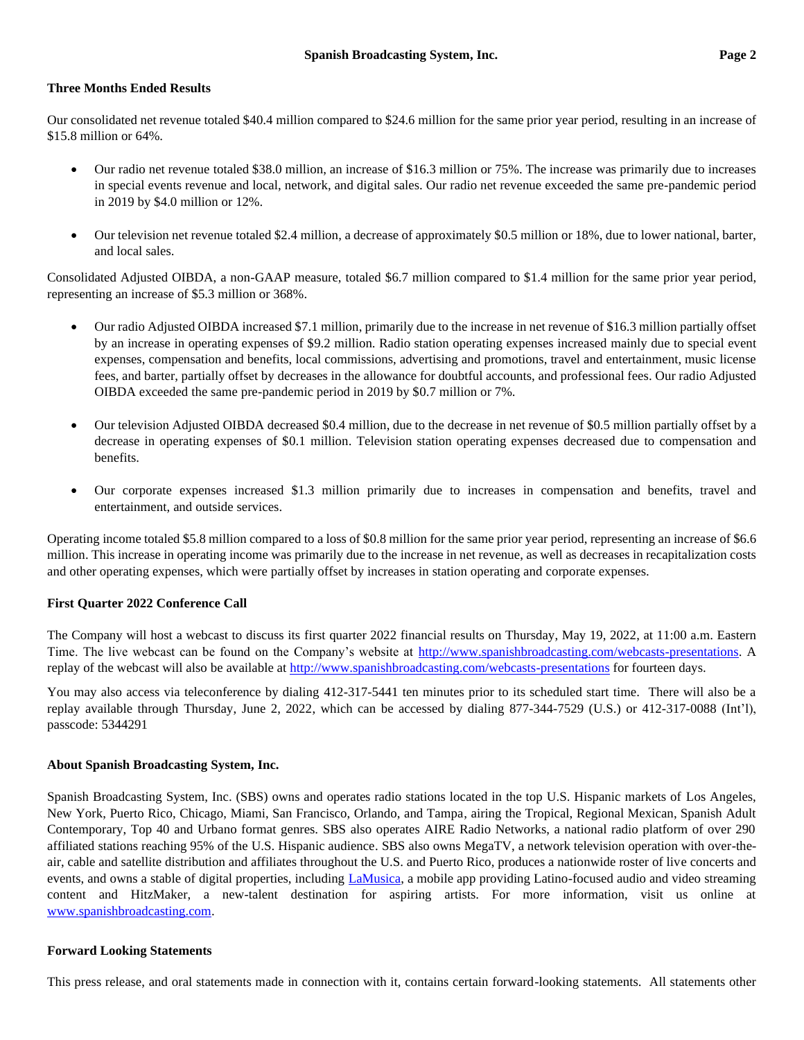### **Three Months Ended Results**

Our consolidated net revenue totaled \$40.4 million compared to \$24.6 million for the same prior year period, resulting in an increase of \$15.8 million or 64%.

- Our radio net revenue totaled \$38.0 million, an increase of \$16.3 million or 75%. The increase was primarily due to increases in special events revenue and local, network, and digital sales. Our radio net revenue exceeded the same pre-pandemic period in 2019 by \$4.0 million or 12%.
- Our television net revenue totaled \$2.4 million, a decrease of approximately \$0.5 million or 18%, due to lower national, barter, and local sales.

Consolidated Adjusted OIBDA, a non-GAAP measure, totaled \$6.7 million compared to \$1.4 million for the same prior year period, representing an increase of \$5.3 million or 368%.

- Our radio Adjusted OIBDA increased \$7.1 million, primarily due to the increase in net revenue of \$16.3 million partially offset by an increase in operating expenses of \$9.2 million. Radio station operating expenses increased mainly due to special event expenses, compensation and benefits, local commissions, advertising and promotions, travel and entertainment, music license fees, and barter, partially offset by decreases in the allowance for doubtful accounts, and professional fees. Our radio Adjusted OIBDA exceeded the same pre-pandemic period in 2019 by \$0.7 million or 7%.
- Our television Adjusted OIBDA decreased \$0.4 million, due to the decrease in net revenue of \$0.5 million partially offset by a decrease in operating expenses of \$0.1 million. Television station operating expenses decreased due to compensation and benefits.
- Our corporate expenses increased \$1.3 million primarily due to increases in compensation and benefits, travel and entertainment, and outside services.

Operating income totaled \$5.8 million compared to a loss of \$0.8 million for the same prior year period, representing an increase of \$6.6 million. This increase in operating income was primarily due to the increase in net revenue, as well as decreases in recapitalization costs and other operating expenses, which were partially offset by increases in station operating and corporate expenses.

### **First Quarter 2022 Conference Call**

The Company will host a webcast to discuss its first quarter 2022 financial results on Thursday, May 19, 2022, at 11:00 a.m. Eastern Time. The live webcast can be found on the Company's website at [http://www.spanishbroadcasting.com/webcasts-presentations.](http://www.spanishbroadcasting.com/webcasts-presentations) A replay of the webcast will also be available a[t http://www.spanishbroadcasting.com/webcasts-presentations](http://www.spanishbroadcasting.com/webcasts-presentations) for fourteen days.

You may also access via teleconference by dialing 412-317-5441 ten minutes prior to its scheduled start time. There will also be a replay available through Thursday, June 2, 2022, which can be accessed by dialing 877-344-7529 (U.S.) or 412-317-0088 (Int'l), passcode: 5344291

#### **About Spanish Broadcasting System, Inc.**

Spanish Broadcasting System, Inc. (SBS) owns and operates radio stations located in the top U.S. Hispanic markets of Los Angeles, New York, Puerto Rico, Chicago, Miami, San Francisco, Orlando, and Tampa, airing the Tropical, Regional Mexican, Spanish Adult Contemporary, Top 40 and Urbano format genres. SBS also operates AIRE Radio Networks, a national radio platform of over 290 affiliated stations reaching 95% of the U.S. Hispanic audience. SBS also owns MegaTV, a network television operation with over-theair, cable and satellite distribution and affiliates throughout the U.S. and Puerto Rico, produces a nationwide roster of live concerts and events, and owns a stable of digital properties, including [LaMusica,](http://www.lamusica.com/) a mobile app providing Latino-focused audio and video streaming content and HitzMaker, a new-talent destination for aspiring artists. For more information, visit us online at [www.spanishbroadcasting.com.](http://www.spanishbroadcasting.com/)

#### **Forward Looking Statements**

This press release, and oral statements made in connection with it, contains certain forward-looking statements. All statements other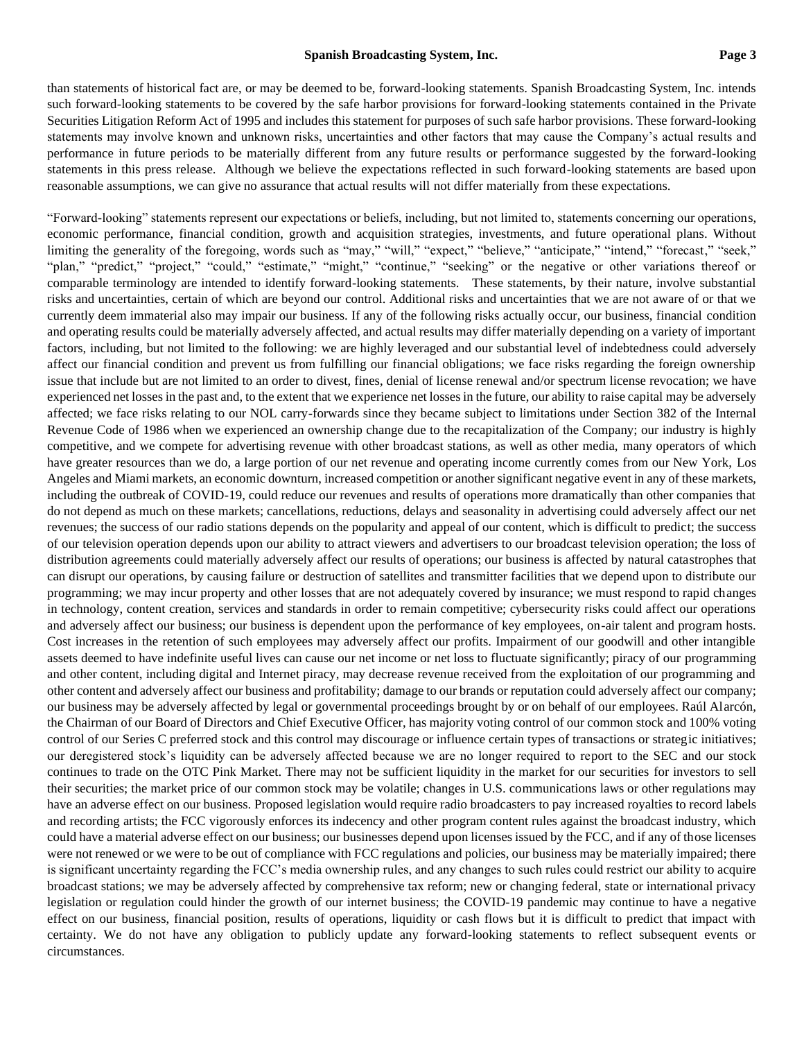than statements of historical fact are, or may be deemed to be, forward-looking statements. Spanish Broadcasting System, Inc. intends such forward-looking statements to be covered by the safe harbor provisions for forward-looking statements contained in the Private Securities Litigation Reform Act of 1995 and includes this statement for purposes of such safe harbor provisions. These forward-looking statements may involve known and unknown risks, uncertainties and other factors that may cause the Company's actual results and performance in future periods to be materially different from any future results or performance suggested by the forward-looking statements in this press release. Although we believe the expectations reflected in such forward-looking statements are based upon reasonable assumptions, we can give no assurance that actual results will not differ materially from these expectations.

"Forward-looking" statements represent our expectations or beliefs, including, but not limited to, statements concerning our operations, economic performance, financial condition, growth and acquisition strategies, investments, and future operational plans. Without limiting the generality of the foregoing, words such as "may," "will," "expect," "believe," "anticipate," "intend," "forecast," "seek," "plan," "predict," "project," "could," "estimate," "might," "continue," "seeking" or the negative or other variations thereof or comparable terminology are intended to identify forward-looking statements. These statements, by their nature, involve substantial risks and uncertainties, certain of which are beyond our control. Additional risks and uncertainties that we are not aware of or that we currently deem immaterial also may impair our business. If any of the following risks actually occur, our business, financial condition and operating results could be materially adversely affected, and actual results may differ materially depending on a variety of important factors, including, but not limited to the following: we are highly leveraged and our substantial level of indebtedness could adversely affect our financial condition and prevent us from fulfilling our financial obligations; we face risks regarding the foreign ownership issue that include but are not limited to an order to divest, fines, denial of license renewal and/or spectrum license revocation; we have experienced net losses in the past and, to the extent that we experience net losses in the future, our ability to raise capital may be adversely affected; we face risks relating to our NOL carry-forwards since they became subject to limitations under Section 382 of the Internal Revenue Code of 1986 when we experienced an ownership change due to the recapitalization of the Company; our industry is highly competitive, and we compete for advertising revenue with other broadcast stations, as well as other media, many operators of which have greater resources than we do, a large portion of our net revenue and operating income currently comes from our New York, Los Angeles and Miami markets, an economic downturn, increased competition or another significant negative event in any of these markets, including the outbreak of COVID-19, could reduce our revenues and results of operations more dramatically than other companies that do not depend as much on these markets; cancellations, reductions, delays and seasonality in advertising could adversely affect our net revenues; the success of our radio stations depends on the popularity and appeal of our content, which is difficult to predict; the success of our television operation depends upon our ability to attract viewers and advertisers to our broadcast television operation; the loss of distribution agreements could materially adversely affect our results of operations; our business is affected by natural catastrophes that can disrupt our operations, by causing failure or destruction of satellites and transmitter facilities that we depend upon to distribute our programming; we may incur property and other losses that are not adequately covered by insurance; we must respond to rapid changes in technology, content creation, services and standards in order to remain competitive; cybersecurity risks could affect our operations and adversely affect our business; our business is dependent upon the performance of key employees, on-air talent and program hosts. Cost increases in the retention of such employees may adversely affect our profits. Impairment of our goodwill and other intangible assets deemed to have indefinite useful lives can cause our net income or net loss to fluctuate significantly; piracy of our programming and other content, including digital and Internet piracy, may decrease revenue received from the exploitation of our programming and other content and adversely affect our business and profitability; damage to our brands or reputation could adversely affect our company; our business may be adversely affected by legal or governmental proceedings brought by or on behalf of our employees. Raúl Alarcón, the Chairman of our Board of Directors and Chief Executive Officer, has majority voting control of our common stock and 100% voting control of our Series C preferred stock and this control may discourage or influence certain types of transactions or strategic initiatives; our deregistered stock's liquidity can be adversely affected because we are no longer required to report to the SEC and our stock continues to trade on the OTC Pink Market. There may not be sufficient liquidity in the market for our securities for investors to sell their securities; the market price of our common stock may be volatile; changes in U.S. communications laws or other regulations may have an adverse effect on our business. Proposed legislation would require radio broadcasters to pay increased royalties to record labels and recording artists; the FCC vigorously enforces its indecency and other program content rules against the broadcast industry, which could have a material adverse effect on our business; our businesses depend upon licenses issued by the FCC, and if any of those licenses were not renewed or we were to be out of compliance with FCC regulations and policies, our business may be materially impaired; there is significant uncertainty regarding the FCC's media ownership rules, and any changes to such rules could restrict our ability to acquire broadcast stations; we may be adversely affected by comprehensive tax reform; new or changing federal, state or international privacy legislation or regulation could hinder the growth of our internet business; the COVID-19 pandemic may continue to have a negative effect on our business, financial position, results of operations, liquidity or cash flows but it is difficult to predict that impact with certainty. We do not have any obligation to publicly update any forward-looking statements to reflect subsequent events or circumstances.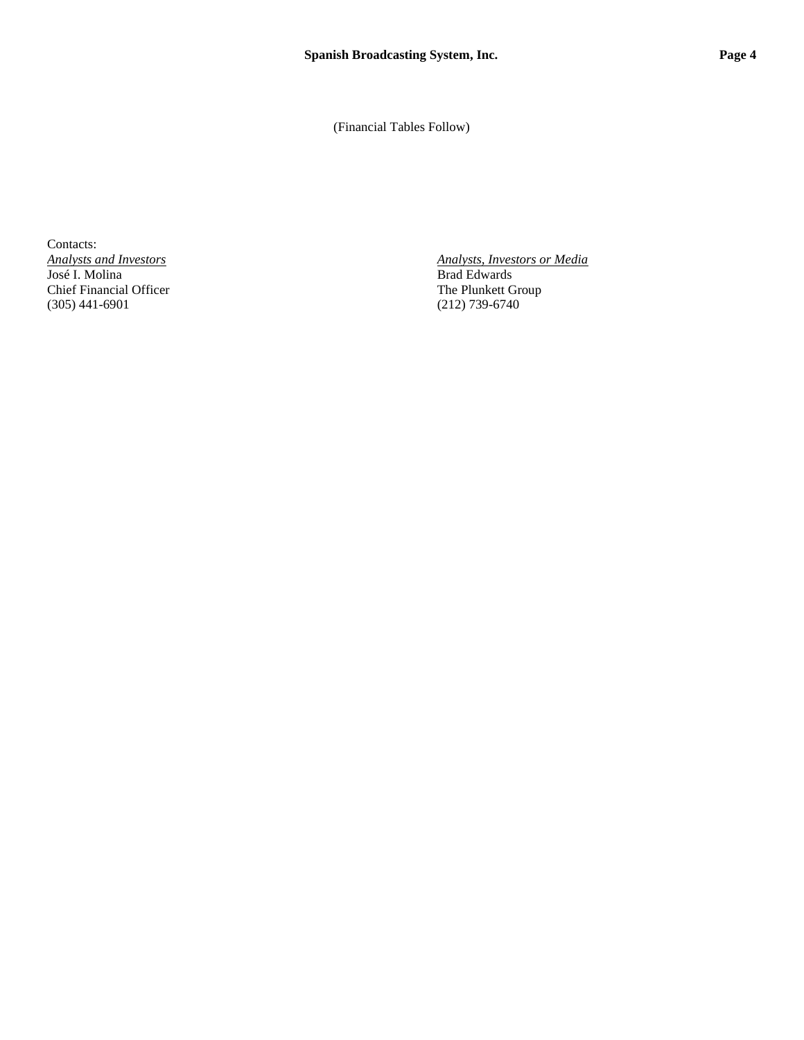(Financial Tables Follow)

Contacts:<br>Analysts and Investors José I. Molina Brad Edwards<br>
Chief Financial Officer The Plunkett Group Chief Financial Officer<br>
(305) 441-6901 (212) 739-6740  $(305)$  441-6901

*Analysts, Investors or Media*<br>Brad Edwards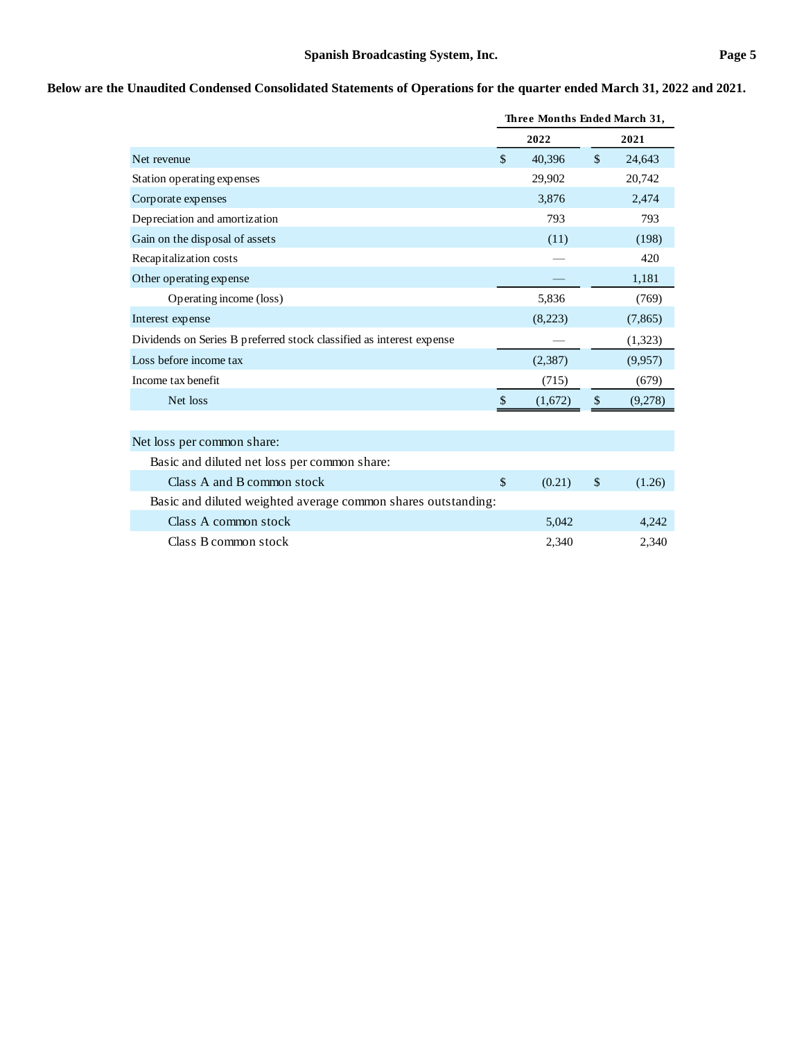## **Below are the Unaudited Condensed Consolidated Statements of Operations for the quarter ended March 31, 2022 and 2021.**

|                                                                      |               | Three Months Ended March 31, |               |          |  |
|----------------------------------------------------------------------|---------------|------------------------------|---------------|----------|--|
|                                                                      |               | 2022                         |               | 2021     |  |
| Net revenue                                                          | \$            | 40.396                       | $\mathcal{S}$ | 24,643   |  |
| Station operating expenses                                           |               | 29,902                       |               | 20,742   |  |
| Corporate expenses                                                   |               | 3,876                        |               | 2,474    |  |
| Depreciation and amortization                                        |               | 793                          |               | 793      |  |
| Gain on the disposal of assets                                       |               | (11)                         |               | (198)    |  |
| Recapitalization costs                                               |               |                              |               | 420      |  |
| Other operating expense                                              |               |                              |               | 1,181    |  |
| Operating income (loss)                                              |               | 5,836                        |               | (769)    |  |
| Interest expense                                                     |               | (8,223)                      |               | (7, 865) |  |
| Dividends on Series B preferred stock classified as interest expense |               |                              |               | (1,323)  |  |
| Loss before income tax                                               |               | (2, 387)                     |               | (9,957)  |  |
| Income tax benefit                                                   |               | (715)                        |               | (679)    |  |
| Net loss                                                             | $\mathcal{S}$ | (1,672)                      | \$            | (9,278)  |  |
|                                                                      |               |                              |               |          |  |
| Net loss per common share:                                           |               |                              |               |          |  |
| Basic and diluted net loss per common share:                         |               |                              |               |          |  |
| Class A and B common stock                                           | \$            | (0.21)                       | \$            | (1.26)   |  |
| Basic and diluted weighted average common shares outstanding:        |               |                              |               |          |  |
| Class A common stock                                                 |               | 5,042                        |               | 4,242    |  |
| Class B common stock                                                 |               | 2,340                        |               | 2,340    |  |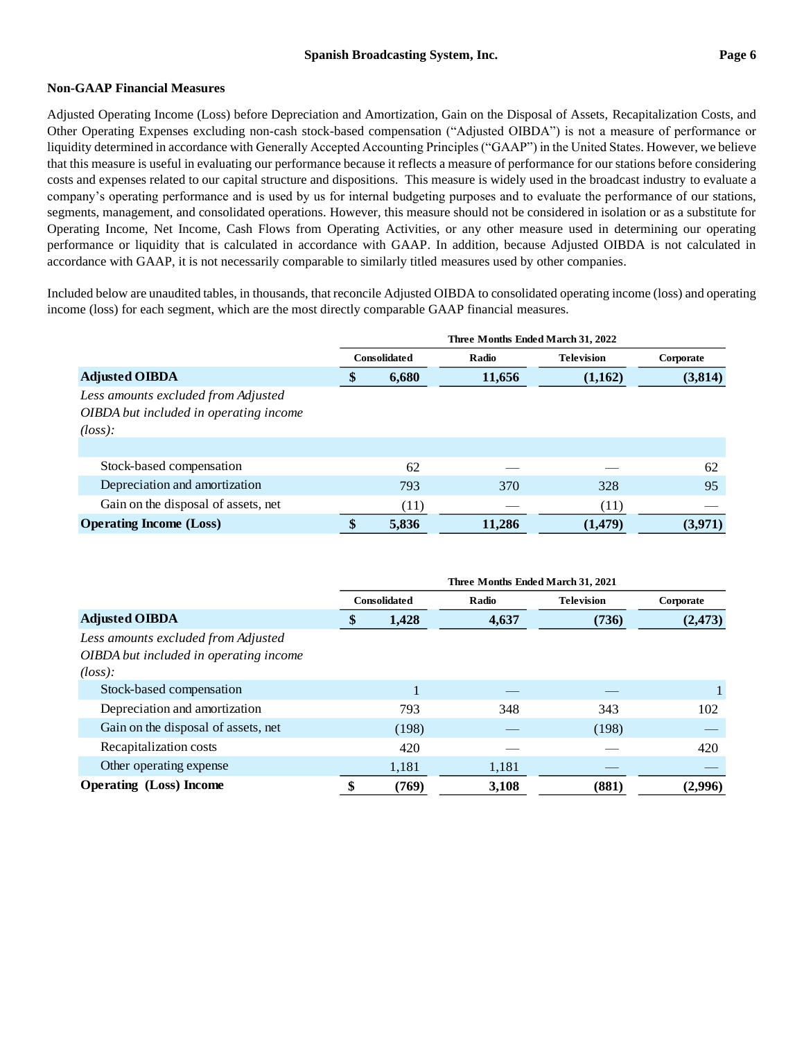### **Non-GAAP Financial Measures**

Adjusted Operating Income (Loss) before Depreciation and Amortization, Gain on the Disposal of Assets, Recapitalization Costs, and Other Operating Expenses excluding non-cash stock-based compensation ("Adjusted OIBDA") is not a measure of performance or liquidity determined in accordance with Generally Accepted Accounting Principles ("GAAP") in the United States. However, we believe that this measure is useful in evaluating our performance because it reflects a measure of performance for our stations before considering costs and expenses related to our capital structure and dispositions. This measure is widely used in the broadcast industry to evaluate a company's operating performance and is used by us for internal budgeting purposes and to evaluate the performance of our stations, segments, management, and consolidated operations. However, this measure should not be considered in isolation or as a substitute for Operating Income, Net Income, Cash Flows from Operating Activities, or any other measure used in determining our operating performance or liquidity that is calculated in accordance with GAAP. In addition, because Adjusted OIBDA is not calculated in accordance with GAAP, it is not necessarily comparable to similarly titled measures used by other companies.

Included below are unaudited tables, in thousands, that reconcile Adjusted OIBDA to consolidated operating income (loss) and operating income (loss) for each segment, which are the most directly comparable GAAP financial measures.

|                                                                                                    | Three Months Ended March 31, 2022 |                     |        |                   |           |
|----------------------------------------------------------------------------------------------------|-----------------------------------|---------------------|--------|-------------------|-----------|
|                                                                                                    |                                   | <b>Consolidated</b> | Radio  | <b>Television</b> | Corporate |
| <b>Adjusted OIBDA</b>                                                                              | \$                                | 6,680               | 11,656 | (1,162)           | (3,814)   |
| Less amounts excluded from Adjusted<br>OIBDA but included in operating income<br>$(\text{loss})$ : |                                   |                     |        |                   |           |
|                                                                                                    |                                   |                     |        |                   |           |
| Stock-based compensation                                                                           |                                   | 62                  |        |                   | 62        |
| Depreciation and amortization                                                                      |                                   | 793                 | 370    | 328               | 95        |
| Gain on the disposal of assets, net                                                                |                                   | (11)                |        | (11)              |           |
| <b>Operating Income (Loss)</b>                                                                     | \$                                | 5,836               | 11,286 | (1,479)           | (3,971)   |

|                                        | Three Months Ended March 31, 2021 |                     |       |                   |           |
|----------------------------------------|-----------------------------------|---------------------|-------|-------------------|-----------|
|                                        |                                   | <b>Consolidated</b> | Radio | <b>Television</b> | Corporate |
| <b>Adjusted OIBDA</b>                  | \$                                | 1,428               | 4,637 | (736)             | (2, 473)  |
| Less amounts excluded from Adjusted    |                                   |                     |       |                   |           |
| OIBDA but included in operating income |                                   |                     |       |                   |           |
| $(\text{loss})$ :                      |                                   |                     |       |                   |           |
| Stock-based compensation               |                                   |                     |       |                   | 1         |
| Depreciation and amortization          |                                   | 793                 | 348   | 343               | 102       |
| Gain on the disposal of assets, net    |                                   | (198)               |       | (198)             |           |
| Recapitalization costs                 |                                   | 420                 |       |                   | 420       |
| Other operating expense                |                                   | 1,181               | 1,181 |                   |           |
| <b>Operating (Loss)</b> Income         |                                   | (769)               | 3,108 | (881)             | (2,996)   |